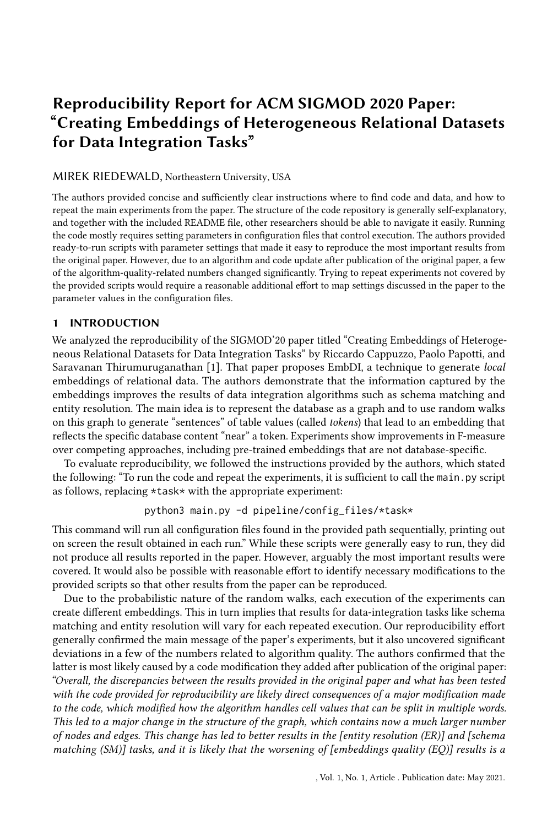# Reproducibility Report for ACM SIGMOD 2020 Paper: "Creating Embeddings of Heterogeneous Relational Datasets for Data Integration Tasks"

#### MIREK RIEDEWALD, Northeastern University, USA

The authors provided concise and sufficiently clear instructions where to find code and data, and how to repeat the main experiments from the paper. The structure of the code repository is generally self-explanatory, and together with the included README file, other researchers should be able to navigate it easily. Running the code mostly requires setting parameters in configuration files that control execution. The authors provided ready-to-run scripts with parameter settings that made it easy to reproduce the most important results from the original paper. However, due to an algorithm and code update after publication of the original paper, a few of the algorithm-quality-related numbers changed significantly. Trying to repeat experiments not covered by the provided scripts would require a reasonable additional effort to map settings discussed in the paper to the parameter values in the configuration files.

# 1 INTRODUCTION

We analyzed the reproducibility of the SIGMOD'20 paper titled "Creating Embeddings of Heterogeneous Relational Datasets for Data Integration Tasks" by Riccardo Cappuzzo, Paolo Papotti, and Saravanan Thirumuruganathan [\[1\]](#page-2-0). That paper proposes EmbDI, a technique to generate local embeddings of relational data. The authors demonstrate that the information captured by the embeddings improves the results of data integration algorithms such as schema matching and entity resolution. The main idea is to represent the database as a graph and to use random walks on this graph to generate "sentences" of table values (called tokens) that lead to an embedding that reflects the specific database content "near" a token. Experiments show improvements in F-measure over competing approaches, including pre-trained embeddings that are not database-specific.

To evaluate reproducibility, we followed the instructions provided by the authors, which stated the following: "To run the code and repeat the experiments, it is sufficient to call the main.py script as follows, replacing \*task\* with the appropriate experiment:

python3 main.py -d pipeline/config\_files/\*task\*

This command will run all configuration files found in the provided path sequentially, printing out on screen the result obtained in each run." While these scripts were generally easy to run, they did not produce all results reported in the paper. However, arguably the most important results were covered. It would also be possible with reasonable effort to identify necessary modifications to the provided scripts so that other results from the paper can be reproduced.

Due to the probabilistic nature of the random walks, each execution of the experiments can create different embeddings. This in turn implies that results for data-integration tasks like schema matching and entity resolution will vary for each repeated execution. Our reproducibility effort generally confirmed the main message of the paper's experiments, but it also uncovered significant deviations in a few of the numbers related to algorithm quality. The authors confirmed that the latter is most likely caused by a code modification they added after publication of the original paper: "Overall, the discrepancies between the results provided in the original paper and what has been tested with the code provided for reproducibility are likely direct consequences of a major modification made to the code, which modified how the algorithm handles cell values that can be split in multiple words. This led to a major change in the structure of the graph, which contains now a much larger number of nodes and edges. This change has led to better results in the [entity resolution (ER)] and [schema matching (SM)] tasks, and it is likely that the worsening of [embeddings quality (EQ)] results is a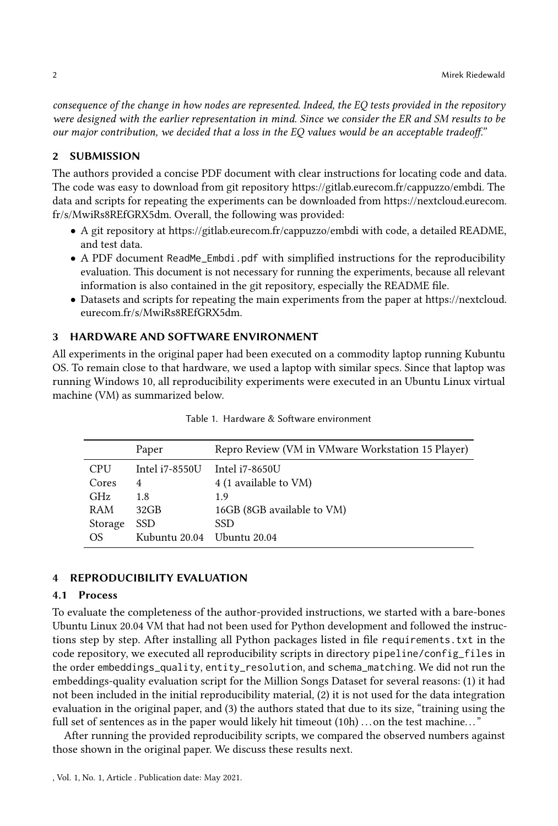consequence of the change in how nodes are represented. Indeed, the EQ tests provided in the repository were designed with the earlier representation in mind. Since we consider the ER and SM results to be our major contribution, we decided that a loss in the EQ values would be an acceptable tradeoff."

## 2 SUBMISSION

The authors provided a concise PDF document with clear instructions for locating code and data. The code was easy to download from git repository [https://gitlab.eurecom.fr/cappuzzo/embdi.](https://gitlab.eurecom.fr/cappuzzo/embdi) The data and scripts for repeating the experiments can be downloaded from [https://nextcloud.eurecom.](https://nextcloud.eurecom.fr/s/MwiRs8REfGRX5dm) [fr/s/MwiRs8REfGRX5dm.](https://nextcloud.eurecom.fr/s/MwiRs8REfGRX5dm) Overall, the following was provided:

- A git repository at<https://gitlab.eurecom.fr/cappuzzo/embdi> with code, a detailed README, and test data.
- A PDF document ReadMe\_Embdi.pdf with simplified instructions for the reproducibility evaluation. This document is not necessary for running the experiments, because all relevant information is also contained in the git repository, especially the README file.
- Datasets and scripts for repeating the main experiments from the paper at [https://nextcloud.](https://nextcloud.eurecom.fr/s/MwiRs8REfGRX5dm) [eurecom.fr/s/MwiRs8REfGRX5dm.](https://nextcloud.eurecom.fr/s/MwiRs8REfGRX5dm)

## 3 HARDWARE AND SOFTWARE ENVIRONMENT

All experiments in the original paper had been executed on a commodity laptop running Kubuntu OS. To remain close to that hardware, we used a laptop with similar specs. Since that laptop was running Windows 10, all reproducibility experiments were executed in an Ubuntu Linux virtual machine (VM) as summarized below.

|            | Paper          | Repro Review (VM in VMware Workstation 15 Player) |
|------------|----------------|---------------------------------------------------|
| <b>CPU</b> | Intel i7-8550U | Intel i7-8650U                                    |
| Cores      | 4              | 4 (1 available to VM)                             |
| <b>GHz</b> | 1.8            | 1.9                                               |
| RAM        | $32$ GB        | 16GB (8GB available to VM)                        |
| Storage    | SSD.           | <b>SSD</b>                                        |
| OS.        | Kubuntu 20.04  | Ubuntu 20.04                                      |

Table 1. Hardware & Software environment

#### 4 REPRODUCIBILITY EVALUATION

#### 4.1 Process

To evaluate the completeness of the author-provided instructions, we started with a bare-bones Ubuntu Linux 20.04 VM that had not been used for Python development and followed the instructions step by step. After installing all Python packages listed in file requirements.txt in the code repository, we executed all reproducibility scripts in directory pipeline/config\_files in the order embeddings\_quality, entity\_resolution, and schema\_matching. We did not run the embeddings-quality evaluation script for the Million Songs Dataset for several reasons: (1) it had not been included in the initial reproducibility material, (2) it is not used for the data integration evaluation in the original paper, and (3) the authors stated that due to its size, "training using the full set of sentences as in the paper would likely hit timeout  $(10h)$ ... on the test machine..."

After running the provided reproducibility scripts, we compared the observed numbers against those shown in the original paper. We discuss these results next.